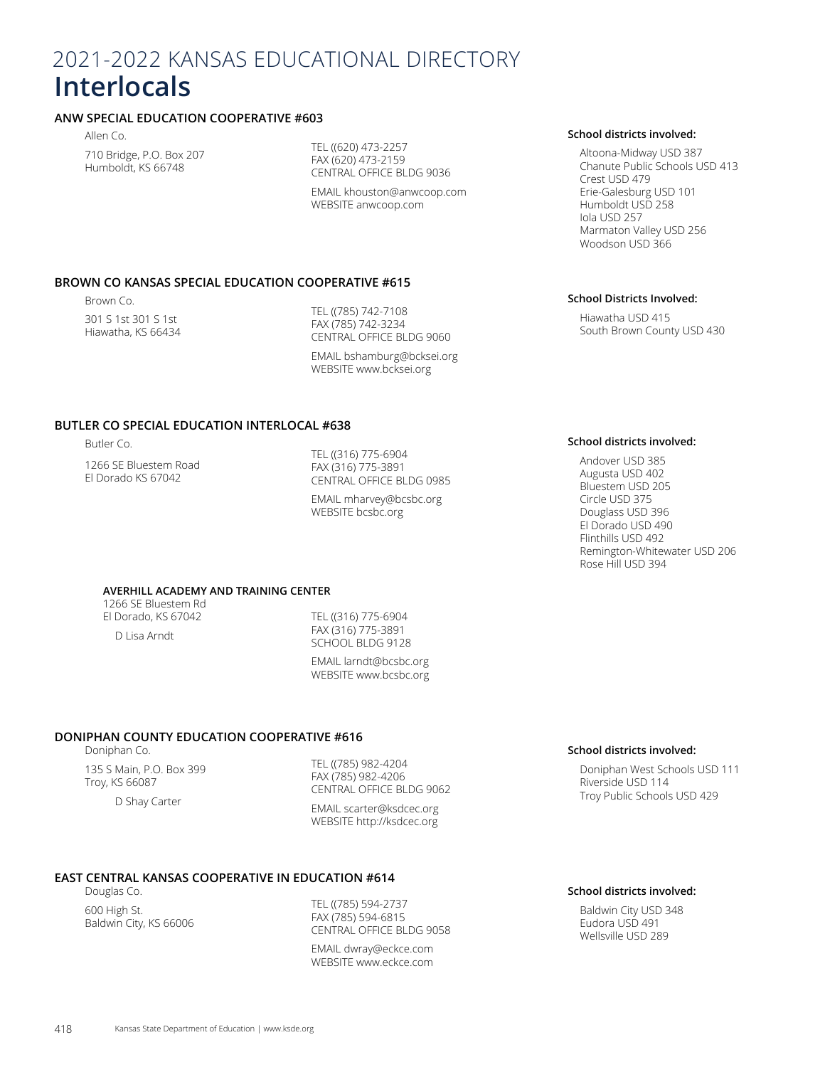# 2021-2022 KANSAS EDUCATIONAL DIRECTORY **Interlocals**

# **ANW SPECIAL EDUCATION COOPERATIVE #603**

Allen Co. 710 Bridge, P.O. Box 207 Humboldt, KS 66748

TEL ((620) 473-2257 FAX (620) 473-2159 CENTRAL OFFICE BLDG 9036

EMAIL khouston@anwcoop.com WEBSITE anwcoop.com

# **BROWN CO KANSAS SPECIAL EDUCATION COOPERATIVE #615**

Brown Co. 301 S 1st 301 S 1st Hiawatha, KS 66434

TEL ((785) 742-7108 FAX (785) 742-3234 CENTRAL OFFICE BLDG 9060

EMAIL bshamburg@bcksei.org WEBSITE www.bcksei.org

# **BUTLER CO SPECIAL EDUCATION INTERLOCAL #638**

Butler Co.

1266 SE Bluestem Road El Dorado KS 67042

TEL ((316) 775-6904 FAX (316) 775-3891 CENTRAL OFFICE BLDG 0985

EMAIL mharvey@bcsbc.org WEBSITE bcsbc.org

# **AVERHILL ACADEMY AND TRAINING CENTER**

1266 SE Bluestem Rd El Dorado, KS 67042 D Lisa Arndt

TEL ((316) 775-6904 FAX (316) 775-3891 SCHOOL BLDG 9128

EMAIL larndt@bcsbc.org WEBSITE www.bcsbc.org

# **DONIPHAN COUNTY EDUCATION COOPERATIVE #616**

Doniphan Co.

135 S Main, P.O. Box 399 Troy, KS 66087 D Shay Carter

TEL ((785) 982-4204 FAX (785) 982-4206 CENTRAL OFFICE BLDG 9062

EMAIL scarter@ksdcec.org WEBSITE http://ksdcec.org

# **EAST CENTRAL KANSAS COOPERATIVE IN EDUCATION #614**

Douglas Co. 600 High St. Baldwin City, KS 66006

TEL ((785) 594-2737 FAX (785) 594-6815 CENTRAL OFFICE BLDG 9058

EMAIL dwray@eckce.com WEBSITE www.eckce.com

#### **School districts involved:**

Altoona-Midway USD 387 Chanute Public Schools USD 413 Crest USD 479 Erie-Galesburg USD 101 Humboldt USD 258 Iola USD 257 Marmaton Valley USD 256 Woodson USD 366

#### **School Districts Involved:**

Hiawatha USD 415 South Brown County USD 430

#### **School districts involved:**

Andover USD 385 Augusta USD 402 Bluestem USD 205 Circle USD 375 Douglass USD 396 El Dorado USD 490 Flinthills USD 492 Remington-Whitewater USD 206 Rose Hill USD 394

# **School districts involved:**

Doniphan West Schools USD 111 Riverside USD 114 Troy Public Schools USD 429

#### **School districts involved:**

Baldwin City USD 348 Eudora USD 491 Wellsville USD 289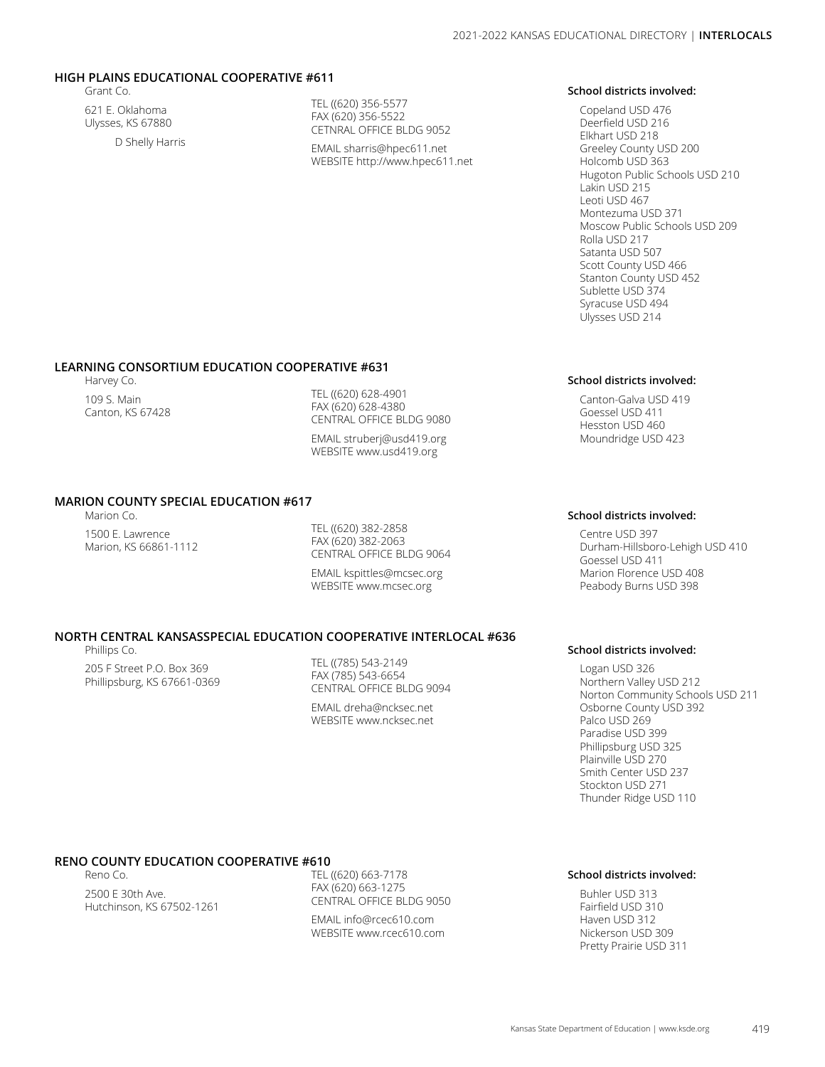# **HIGH PLAINS EDUCATIONAL COOPERATIVE #611**

Grant Co.

621 E. Oklahoma Ulysses, KS 67880 D Shelly Harris TEL ((620) 356-5577 FAX (620) 356-5522 CETNRAL OFFICE BLDG 9052

EMAIL sharris@hpec611.net WEBSITE http://www.hpec611.net

#### **School districts involved:**

Copeland USD 476 Deerfield USD 216 Elkhart USD 218 Greeley County USD 200 Holcomb USD 363 Hugoton Public Schools USD 210 Lakin USD 215 Leoti USD 467 Montezuma USD 371 Moscow Public Schools USD 209 Rolla USD 217 Satanta USD 507 Scott County USD 466 Stanton County USD 452 Sublette USD 374 Syracuse USD 494 Ulysses USD 214

### **LEARNING CONSORTIUM EDUCATION COOPERATIVE #631**

Harvey Co. 109 S. Main Canton, KS 67428

TEL ((620) 628-4901 FAX (620) 628-4380 CENTRAL OFFICE BLDG 9080

EMAIL struberj@usd419.org WEBSITE www.usd419.org

# **MARION COUNTY SPECIAL EDUCATION #617**

Marion Co. 1500 E. Lawrence Marion, KS 66861-1112

TEL ((620) 382-2858 FAX (620) 382-2063 CENTRAL OFFICE BLDG 9064

EMAIL kspittles@mcsec.org WEBSITE www.mcsec.org

# **NORTH CENTRAL KANSASSPECIAL EDUCATION COOPERATIVE INTERLOCAL #636**

Phillips Co.

205 F Street P.O. Box 369 Phillipsburg, KS 67661-0369 TEL ((785) 543-2149 FAX (785) 543-6654 CENTRAL OFFICE BLDG 9094

EMAIL dreha@ncksec.net WEBSITE www.ncksec.net

#### **School districts involved:**

Canton-Galva USD 419 Goessel USD 411 Hesston USD 460 Moundridge USD 423

#### **School districts involved:**

Centre USD 397 Durham-Hillsboro-Lehigh USD 410 Goessel USD 411 Marion Florence USD 408 Peabody Burns USD 398

#### **School districts involved:**

Logan USD 326 Northern Valley USD 212 Norton Community Schools USD 211 Osborne County USD 392 Palco USD 269 Paradise USD 399 Phillipsburg USD 325 Plainville USD 270 Smith Center USD 237 Stockton USD 271 Thunder Ridge USD 110

# **RENO COUNTY EDUCATION COOPERATIVE #610**

Reno Co. 2500 E 30th Ave. Hutchinson, KS 67502-1261

TEL ((620) 663-7178 FAX (620) 663-1275 CENTRAL OFFICE BLDG 9050 EMAIL info@rcec610.com WEBSITE www.rcec610.com

### **School districts involved:**

Buhler USD 313 Fairfield USD 310 Haven USD 312 Nickerson USD 309 Pretty Prairie USD 311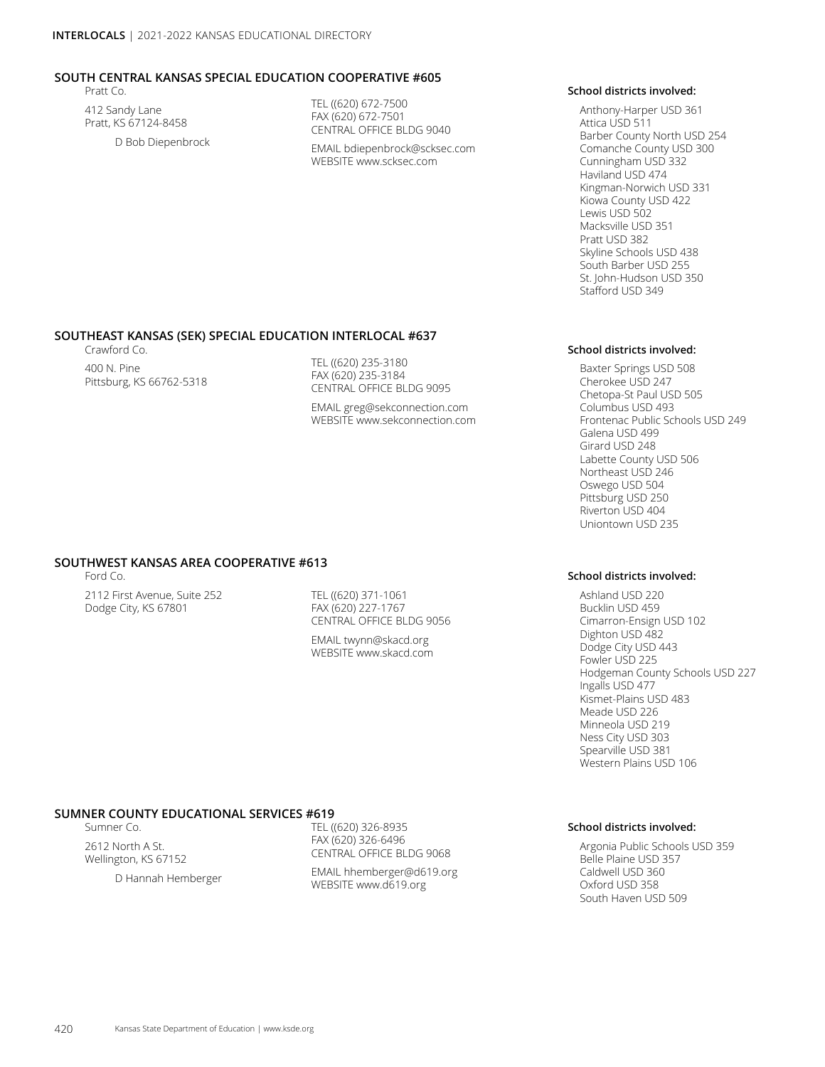### **SOUTH CENTRAL KANSAS SPECIAL EDUCATION COOPERATIVE #605**

Pratt Co.

412 Sandy Lane Pratt, KS 67124-8458 D Bob Diepenbrock TEL ((620) 672-7500 FAX (620) 672-7501 CENTRAL OFFICE BLDG 9040

EMAIL bdiepenbrock@scksec.com WEBSITE www.scksec.com

#### **School districts involved:**

Anthony-Harper USD 361 Attica USD 511 Barber County North USD 254 Comanche County USD 300 Cunningham USD 332 Haviland USD 474 Kingman-Norwich USD 331 Kiowa County USD 422 Lewis USD 502 Macksville USD 351 Pratt USD 382 Skyline Schools USD 438 South Barber USD 255 St. John-Hudson USD 350 Stafford USD 349

**School districts involved:** Baxter Springs USD 508 Cherokee USD 247 Chetopa-St Paul USD 505 Columbus USD 493

Galena USD 499 Girard USD 248 Labette County USD 506 Northeast USD 246 Oswego USD 504 Pittsburg USD 250 Riverton USD 404 Uniontown USD 235

**School districts involved:**

Frontenac Public Schools USD 249

#### **SOUTHEAST KANSAS (SEK) SPECIAL EDUCATION INTERLOCAL #637**

Crawford Co.

400 N. Pine Pittsburg, KS 66762-5318 TEL ((620) 235-3180 FAX (620) 235-3184 CENTRAL OFFICE BLDG 9095

EMAIL greg@sekconnection.com WEBSITE www.sekconnection.com

# **SOUTHWEST KANSAS AREA COOPERATIVE #613**

Ford Co.

2112 First Avenue, Suite 252 Dodge City, KS 67801

TEL ((620) 371-1061 FAX (620) 227-1767 CENTRAL OFFICE BLDG 9056

EMAIL twynn@skacd.org WEBSITE www.skacd.com

Ashland USD 220 Bucklin USD 459 Cimarron-Ensign USD 102 Dighton USD 482 Dodge City USD 443 Fowler USD 225 Hodgeman County Schools USD 227 Ingalls USD 477 Kismet-Plains USD 483 Meade USD 226 Minneola USD 219 Ness City USD 303 Spearville USD 381 Western Plains USD 106

#### **SUMNER COUNTY EDUCATIONAL SERVICES #619**

Sumner Co.

2612 North A St. Wellington, KS 67152

D Hannah Hemberger

TEL ((620) 326-8935 FAX (620) 326-6496 CENTRAL OFFICE BLDG 9068 EMAIL hhemberger@d619.org WEBSITE www.d619.org

#### **School districts involved:**

Argonia Public Schools USD 359 Belle Plaine USD 357 Caldwell USD 360 Oxford USD 358 South Haven USD 509